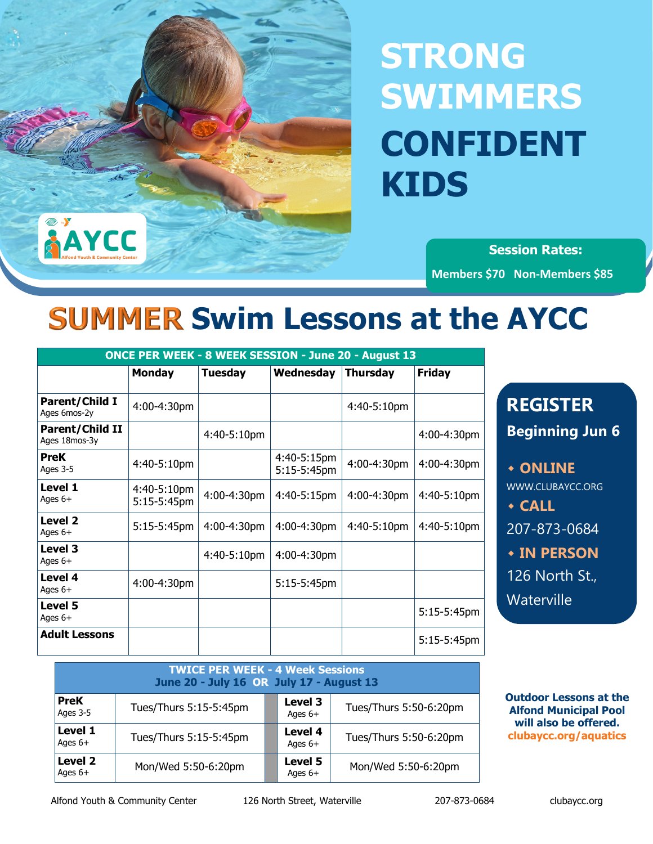# **STRONG SWIMMERS CONFIDENT KIDS**

**Session Rates: Members \$70 Non-Members \$85**

## **SUMMER Swim Lessons at the AYCC**

|                                  | <b>ONCE PER WEEK - 8 WEEK SESSION - June 20 - August 13</b> |                |                            |                 |               |  |  |
|----------------------------------|-------------------------------------------------------------|----------------|----------------------------|-----------------|---------------|--|--|
|                                  | <b>Monday</b>                                               | <b>Tuesday</b> | Wednesday                  | <b>Thursday</b> | <b>Friday</b> |  |  |
| Parent/Child I<br>Ages 6mos-2y   | 4:00-4:30pm                                                 |                |                            | 4:40-5:10pm     |               |  |  |
| Parent/Child II<br>Ages 18mos-3y |                                                             | 4:40-5:10pm    |                            |                 | 4:00-4:30pm   |  |  |
| <b>PreK</b><br>Ages 3-5          | 4:40-5:10pm                                                 |                | 4:40-5:15pm<br>5:15-5:45pm | 4:00-4:30pm     | 4:00-4:30pm   |  |  |
| Level 1<br>Ages $6+$             | 4:40-5:10pm<br>$5:15-5:45$ pm                               | 4:00-4:30pm    | 4:40-5:15pm                | 4:00-4:30pm     | 4:40-5:10pm   |  |  |
| Level 2<br>Ages $6+$             | 5:15-5:45pm                                                 | 4:00-4:30pm    | 4:00-4:30pm                | 4:40-5:10pm     | 4:40-5:10pm   |  |  |
| Level 3<br>Ages $6+$             |                                                             | 4:40-5:10pm    | 4:00-4:30pm                |                 |               |  |  |
| Level 4<br>Ages 6+               | 4:00-4:30pm                                                 |                | 5:15-5:45pm                |                 |               |  |  |
| Level 5<br>Ages $6+$             |                                                             |                |                            |                 | 5:15-5:45pm   |  |  |
| <b>Adult Lessons</b>             |                                                             |                |                            |                 | 5:15-5:45pm   |  |  |

| <b>REGISTER</b>         |  |  |  |  |  |
|-------------------------|--|--|--|--|--|
| <b>Beginning Jun 6</b>  |  |  |  |  |  |
|                         |  |  |  |  |  |
| <b>• ONLINE</b>         |  |  |  |  |  |
| <b>WWW.CLUBAYCC.ORG</b> |  |  |  |  |  |
| $\triangle$ CALL        |  |  |  |  |  |
| 207-873-0684            |  |  |  |  |  |
| <b>* IN PERSON</b>      |  |  |  |  |  |
| <u>126</u> North St.,   |  |  |  |  |  |
| Waterville              |  |  |  |  |  |
|                         |  |  |  |  |  |

| <b>TWICE PER WEEK - 4 Week Sessions</b><br>June 20 - July 16 OR July 17 - August 13 |                        |  |                      |                        |  |  |
|-------------------------------------------------------------------------------------|------------------------|--|----------------------|------------------------|--|--|
| <b>PreK</b><br>Ages 3-5                                                             | Tues/Thurs 5:15-5:45pm |  | Level 3<br>Ages $6+$ | Tues/Thurs 5:50-6:20pm |  |  |
| Level 1<br>Ages $6+$                                                                | Tues/Thurs 5:15-5:45pm |  | Level 4<br>Ages $6+$ | Tues/Thurs 5:50-6:20pm |  |  |
| Level 2<br>Ages $6+$                                                                | Mon/Wed 5:50-6:20pm    |  | Level 5<br>Ages $6+$ | Mon/Wed 5:50-6:20pm    |  |  |

**Outdoor Lessons at the Alfond Municipal Pool will also be offered. clubaycc.org/aquatics**

**AYCC**